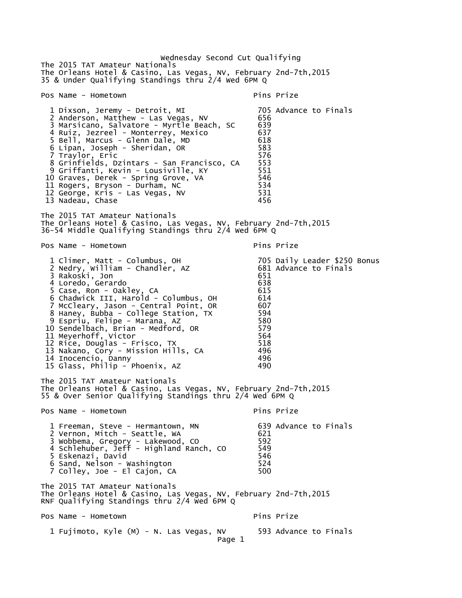Wednesday Second Cut Qualifying The 2015 TAT Amateur Nationals The Orleans Hotel & Casino, Las Vegas, NV, February 2nd-7th,2015 35 & Under Qualifying Standings thru 2/4 Wed 6PM Q Pos Name - Hometown entry the pins Prize pins Prize 1 Dixson, Jeremy - Detroit, MI 705 Advance to Finals 2 Anderson, Matthew - Las Vegas, NV 656 3 Marsicano, Salvatore - Myrtle Beach, SC 4 Ruiz, Jezreel - Monterrey, Mexico 637 5 Bell, Marcus - Glenn Dale, MD 618 6 Lipan, Joseph - Sheridan, OR 583 7 Traylor, Eric 576 8 Grinfields, Dzintars - San Francisco, CA 553 9 Griffanti, Kevin - Lousiville, KY 551 10 Graves, Derek - Spring Grove, VA 546 11 Rogers, Bryson - Durham, NC 12 George, Kris - Las Vegas, NV 531 13 Nadeau, Chase 456 The 2015 TAT Amateur Nationals The Orleans Hotel & Casino, Las Vegas, NV, February 2nd-7th,2015 36-54 Middle Qualifying Standings thru 2/4 Wed 6PM Q Pos Name - Hometown entitled and the pins Prize 1 Climer, Matt - Columbus, OH 705 Daily Leader \$250 Bonus 2 Nedry, William - Chandler, AZ 681 Advance to Finals a Rakoski, Jon<br>3 Rakoski, Jon 651<br>4 Loredo, Gerardo 638 4 Loredo, Gerardo 638 5 Case, Ron - Oakley, CA 615 6 Chadwick III, Harold - Columbus, OH 614 7 McCleary, Jason - Central Point, OR 607 8 Haney, Bubba - College Station, TX 594 9 Espriu, Felipe - Marana, AZ 580 10 Sendelbach, Brian - Medford, OR 579 11 Meyerhoff, Victor 564 12 Rice, Douglas - Frisco, TX 518 13 Nakano, Cory - Mission Hills, CA 496 14 Inocencio, Danny 496 15 Glass, Philip - Phoenix, AZ 490 The 2015 TAT Amateur Nationals The Orleans Hotel & Casino, Las Vegas, NV, February 2nd-7th,2015 55 & Over Senior Qualifying Standings thru 2/4 Wed 6PM Q Pos Name - Hometown expansion of the Pins Prize 1 Freeman, Steve - Hermantown, MN 639 Advance to Finals 2 Vernon, Mitch - Seattle, WA 621 3 Wobbema, Gregory - Lakewood, CO 592 4 Schlehuber, Jeff - Highland Ranch, CO 549 5 Eskenazi, David 546 6 Sand, Nelson - Washington 524 7 Colley, Joe - El Cajon, CA The 2015 TAT Amateur Nationals The Orleans Hotel & Casino, Las Vegas, NV, February 2nd-7th,2015 RNF Qualifying Standings thru 2/4 Wed 6PM Q Pos Name - Hometown entry the primary pins Prize 1 Fujimoto, Kyle (M) - N. Las Vegas, NV 593 Advance to Finals Page 1